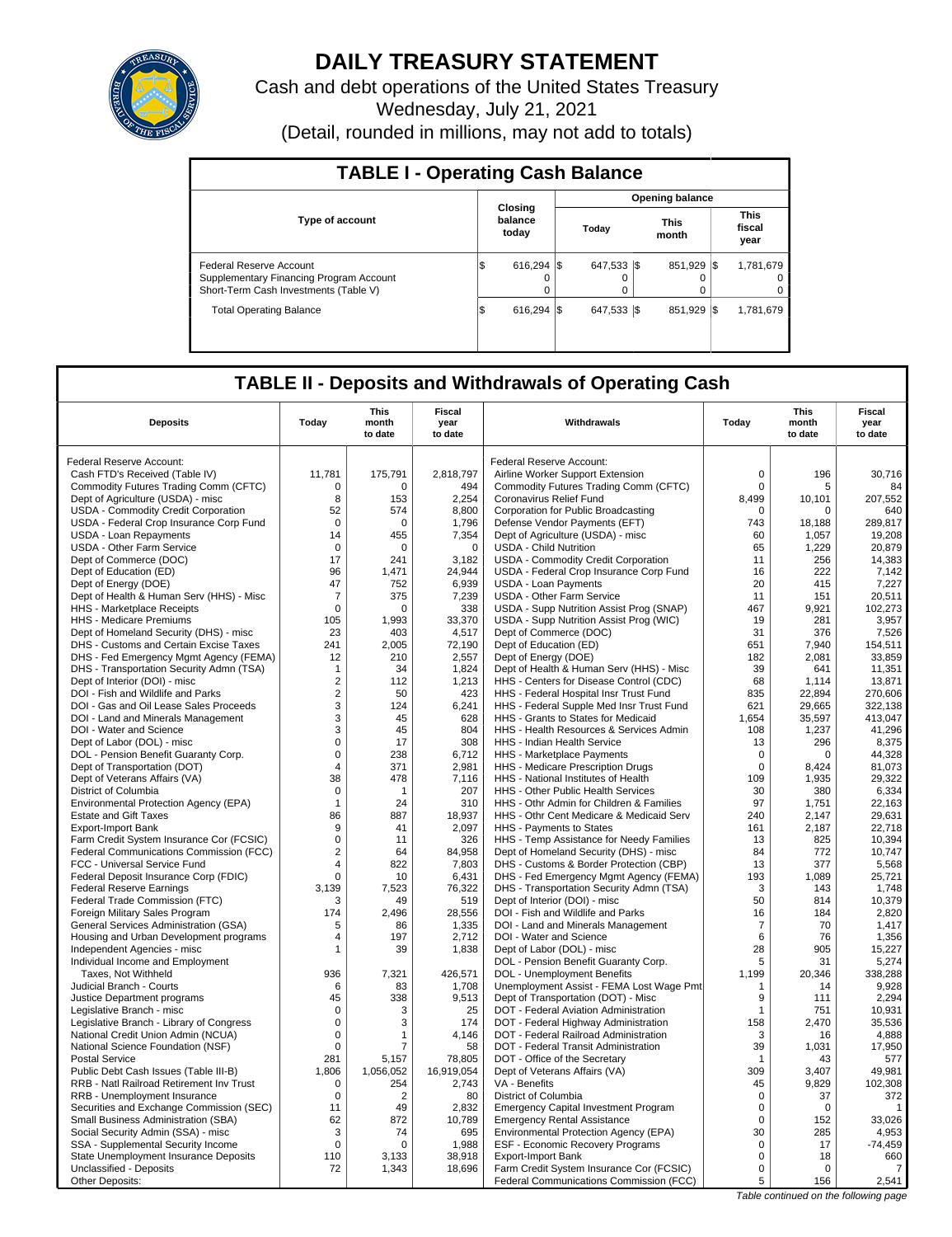

# **DAILY TREASURY STATEMENT**

Cash and debt operations of the United States Treasury Wednesday, July 21, 2021

(Detail, rounded in millions, may not add to totals)

| <b>TABLE I - Operating Cash Balance</b>                                                                     |     |                             |  |                 |                      |         |      |                               |  |  |  |
|-------------------------------------------------------------------------------------------------------------|-----|-----------------------------|--|-----------------|----------------------|---------|------|-------------------------------|--|--|--|
|                                                                                                             |     |                             |  |                 |                      |         |      |                               |  |  |  |
| <b>Type of account</b>                                                                                      |     | Closing<br>balance<br>today |  | Today           | <b>This</b><br>month |         |      | <b>This</b><br>fiscal<br>year |  |  |  |
| Federal Reserve Account<br>Supplementary Financing Program Account<br>Short-Term Cash Investments (Table V) | IS  | $616.294$ S<br>$\Omega$     |  | 647,533 \$<br>0 |                      | 851,929 | -1\$ | 1,781,679<br>0<br>0           |  |  |  |
| <b>Total Operating Balance</b>                                                                              | 1\$ | 616.294 \\$                 |  | 647.533 \\$     |                      | 851,929 | -1\$ | 1,781,679                     |  |  |  |

## **TABLE II - Deposits and Withdrawals of Operating Cash**

| <b>Deposits</b>                                                           | Today                   | <b>This</b><br>month<br>to date | Fiscal<br>year<br>to date | Withdrawals                                                                      | Today                   | <b>This</b><br>month<br>to date | Fiscal<br>year<br>to date |
|---------------------------------------------------------------------------|-------------------------|---------------------------------|---------------------------|----------------------------------------------------------------------------------|-------------------------|---------------------------------|---------------------------|
| Federal Reserve Account:                                                  |                         |                                 |                           | Federal Reserve Account:                                                         |                         |                                 |                           |
| Cash FTD's Received (Table IV)                                            | 11,781                  | 175,791                         | 2,818,797                 | Airline Worker Support Extension                                                 | $\mathbf 0$             | 196                             | 30.716                    |
| Commodity Futures Trading Comm (CFTC)                                     | $\mathbf 0$             | $\Omega$                        | 494                       | Commodity Futures Trading Comm (CFTC)                                            | $\Omega$                | 5                               | 84                        |
| Dept of Agriculture (USDA) - misc                                         | 8                       | 153                             | 2,254                     | Coronavirus Relief Fund                                                          | 8,499                   | 10,101                          | 207,552                   |
| USDA - Commodity Credit Corporation                                       | 52                      | 574                             | 8,800                     | Corporation for Public Broadcasting                                              | $\mathbf 0$             | $\Omega$                        | 640                       |
| USDA - Federal Crop Insurance Corp Fund                                   | $\mathbf 0$             | 0                               | 1,796                     | Defense Vendor Payments (EFT)                                                    | 743                     | 18.188                          | 289.817                   |
| USDA - Loan Repayments                                                    | 14                      | 455                             | 7,354                     | Dept of Agriculture (USDA) - misc                                                | 60                      | 1,057                           | 19,208                    |
| <b>USDA - Other Farm Service</b>                                          | $\mathbf 0$             | $\Omega$                        | $\mathbf 0$               | <b>USDA - Child Nutrition</b>                                                    | 65                      | 1.229                           | 20.879                    |
| Dept of Commerce (DOC)                                                    | 17                      | 241                             | 3,182                     | <b>USDA - Commodity Credit Corporation</b>                                       | 11                      | 256                             | 14,383                    |
| Dept of Education (ED)                                                    | 96                      | 1.471                           | 24,944                    | USDA - Federal Crop Insurance Corp Fund                                          | 16                      | 222                             | 7,142                     |
| Dept of Energy (DOE)                                                      | 47                      | 752                             | 6,939                     | <b>USDA - Loan Payments</b>                                                      | 20                      | 415                             | 7,227                     |
| Dept of Health & Human Serv (HHS) - Misc                                  | $\overline{7}$          | 375                             | 7,239                     | <b>USDA - Other Farm Service</b>                                                 | 11                      | 151                             | 20,511                    |
| HHS - Marketplace Receipts                                                | $\mathbf 0$             | $\Omega$                        | 338                       | USDA - Supp Nutrition Assist Prog (SNAP)                                         | 467                     | 9,921                           | 102,273                   |
| HHS - Medicare Premiums                                                   | 105                     | 1.993                           | 33,370                    | USDA - Supp Nutrition Assist Prog (WIC)                                          | 19                      | 281                             | 3,957                     |
| Dept of Homeland Security (DHS) - misc                                    | 23                      | 403                             | 4,517                     | Dept of Commerce (DOC)                                                           | 31                      | 376                             | 7,526                     |
| DHS - Customs and Certain Excise Taxes                                    | 241                     | 2,005                           | 72,190                    | Dept of Education (ED)                                                           | 651                     | 7,940                           | 154,511                   |
| DHS - Fed Emergency Mgmt Agency (FEMA)                                    | 12                      | 210                             | 2,557                     | Dept of Energy (DOE)                                                             | 182                     | 2,081                           | 33,859                    |
| DHS - Transportation Security Admn (TSA)                                  | $\mathbf{1}$            | 34                              | 1.824                     | Dept of Health & Human Serv (HHS) - Misc                                         | 39                      | 641                             | 11.351                    |
| Dept of Interior (DOI) - misc                                             | $\sqrt{2}$              | 112                             | 1,213                     | HHS - Centers for Disease Control (CDC)                                          | 68                      | 1,114                           | 13,871                    |
| DOI - Fish and Wildlife and Parks                                         | $\overline{2}$          | 50                              | 423                       | HHS - Federal Hospital Insr Trust Fund                                           | 835                     | 22.894                          | 270.606                   |
| DOI - Gas and Oil Lease Sales Proceeds                                    | $\sqrt{3}$              | 124                             | 6,241                     | HHS - Federal Supple Med Insr Trust Fund                                         | 621                     | 29,665                          | 322,138                   |
| DOI - Land and Minerals Management                                        | 3                       | 45                              | 628                       | HHS - Grants to States for Medicaid                                              | 1,654                   | 35,597                          | 413,047                   |
| DOI - Water and Science                                                   | 3                       | 45                              | 804                       | HHS - Health Resources & Services Admin                                          | 108                     | 1,237                           | 41,296                    |
| Dept of Labor (DOL) - misc                                                | $\mathbf 0$             | 17                              | 308                       | HHS - Indian Health Service                                                      | 13                      | 296                             | 8,375                     |
| DOL - Pension Benefit Guaranty Corp.                                      | $\mathbf 0$             | 238                             | 6,712                     | HHS - Marketplace Payments                                                       | 0                       | 0                               | 44,328                    |
| Dept of Transportation (DOT)                                              | $\overline{\mathbf{4}}$ | 371                             | 2,981                     | HHS - Medicare Prescription Drugs                                                | $\mathbf 0$             | 8,424                           | 81,073                    |
| Dept of Veterans Affairs (VA)                                             | 38                      | 478                             | 7,116                     | HHS - National Institutes of Health                                              | 109                     | 1,935                           | 29,322                    |
| District of Columbia                                                      | $\mathbf 0$             | -1                              | 207                       | HHS - Other Public Health Services                                               | 30                      | 380                             | 6,334                     |
| Environmental Protection Agency (EPA)                                     | $\mathbf{1}$            | 24                              | 310                       | HHS - Othr Admin for Children & Families                                         | 97                      | 1,751                           | 22,163                    |
| <b>Estate and Gift Taxes</b>                                              | 86                      | 887                             | 18,937                    | HHS - Othr Cent Medicare & Medicaid Serv                                         | 240                     | 2,147                           | 29,631                    |
| <b>Export-Import Bank</b>                                                 | 9                       | 41                              | 2,097                     | HHS - Payments to States                                                         | 161                     | 2,187                           | 22,718                    |
| Farm Credit System Insurance Cor (FCSIC)                                  | $\mathbf 0$             | 11                              | 326                       | HHS - Temp Assistance for Needy Families                                         | 13                      | 825                             | 10.394                    |
| Federal Communications Commission (FCC)                                   | $\overline{\mathbf{c}}$ | 64                              | 84,958                    | Dept of Homeland Security (DHS) - misc                                           | 84                      | 772                             | 10,747                    |
| FCC - Universal Service Fund                                              | $\overline{4}$          | 822                             | 7,803                     | DHS - Customs & Border Protection (CBP)                                          | 13                      | 377                             | 5,568                     |
| Federal Deposit Insurance Corp (FDIC)                                     | $\mathsf 0$             | 10                              | 6,431                     | DHS - Fed Emergency Mgmt Agency (FEMA)                                           | 193                     | 1,089                           | 25,721                    |
| <b>Federal Reserve Earnings</b>                                           | 3,139                   | 7,523                           | 76,322                    | DHS - Transportation Security Admn (TSA)                                         | 3                       | 143                             | 1,748                     |
| Federal Trade Commission (FTC)                                            | 3                       | 49                              | 519                       | Dept of Interior (DOI) - misc                                                    | 50                      | 814                             | 10,379                    |
| Foreign Military Sales Program                                            | 174                     | 2,496                           | 28,556                    | DOI - Fish and Wildlife and Parks                                                | 16                      | 184                             | 2,820                     |
| <b>General Services Administration (GSA)</b>                              | 5                       | 86                              | 1,335                     | DOI - Land and Minerals Management                                               | $\overline{7}$          | 70                              | 1,417                     |
| Housing and Urban Development programs                                    | 4                       | 197                             | 2,712                     | DOI - Water and Science                                                          | 6                       | 76                              | 1,356                     |
| Independent Agencies - misc                                               | 1                       | 39                              | 1,838                     | Dept of Labor (DOL) - misc                                                       | 28                      | 905                             | 15.227                    |
| Individual Income and Employment                                          |                         |                                 |                           | DOL - Pension Benefit Guaranty Corp.                                             | 5                       | 31                              | 5,274                     |
| Taxes, Not Withheld                                                       | 936                     | 7,321                           | 426,571                   | DOL - Unemployment Benefits                                                      | 1,199                   | 20,346                          | 338,288                   |
| Judicial Branch - Courts                                                  | 6                       | 83                              | 1,708                     | Unemployment Assist - FEMA Lost Wage Pmt                                         | 1                       | 14                              | 9.928                     |
| Justice Department programs                                               | 45                      | 338                             | 9,513                     | Dept of Transportation (DOT) - Misc                                              | 9                       | 111                             | 2,294                     |
| Legislative Branch - misc                                                 | $\mathbf 0$             | 3                               | 25                        | DOT - Federal Aviation Administration                                            | $\mathbf{1}$            | 751                             | 10,931                    |
| Legislative Branch - Library of Congress                                  | $\mathbf 0$             | 3                               | 174                       | DOT - Federal Highway Administration                                             | 158                     | 2.470                           | 35,536                    |
| National Credit Union Admin (NCUA)                                        | $\mathbf 0$             | 1                               | 4,146                     | DOT - Federal Railroad Administration                                            | 3                       | 16                              | 4,888                     |
| National Science Foundation (NSF)                                         | $\mathbf 0$             | 7                               | 58                        | DOT - Federal Transit Administration                                             | 39                      | 1,031                           | 17.950                    |
| <b>Postal Service</b>                                                     | 281                     | 5,157                           | 78,805                    | DOT - Office of the Secretary                                                    | $\mathbf{1}$            | 43                              | 577                       |
| Public Debt Cash Issues (Table III-B)                                     | 1.806                   | 1,056,052                       | 16,919,054                | Dept of Veterans Affairs (VA)                                                    | 309                     | 3.407                           | 49.981                    |
| RRB - Natl Railroad Retirement Inv Trust                                  | $\mathbf 0$             | 254                             | 2,743                     | VA - Benefits                                                                    | 45                      | 9,829                           | 102,308                   |
| RRB - Unemployment Insurance                                              | $\mathbf 0$             | $\overline{2}$                  | 80                        | District of Columbia                                                             | $\mathbf 0$             | 37                              | 372                       |
| Securities and Exchange Commission (SEC)                                  | 11<br>62                | 49<br>872                       | 2,832<br>10,789           | <b>Emergency Capital Investment Program</b>                                      | $\mathbf 0$<br>$\Omega$ | 0<br>152                        | $\mathbf{1}$<br>33,026    |
| Small Business Administration (SBA)<br>Social Security Admin (SSA) - misc | 3                       | 74                              | 695                       | <b>Emergency Rental Assistance</b>                                               | 30                      | 285                             | 4,953                     |
| SSA - Supplemental Security Income                                        | $\mathsf 0$             | $\Omega$                        | 1,988                     | Environmental Protection Agency (EPA)<br><b>ESF - Economic Recovery Programs</b> | $\mathbf 0$             | 17                              | $-74,459$                 |
| State Unemployment Insurance Deposits                                     | 110                     | 3,133                           | 38,918                    | <b>Export-Import Bank</b>                                                        | $\mathbf 0$             | 18                              | 660                       |
| Unclassified - Deposits                                                   | 72                      | 1,343                           | 18,696                    | Farm Credit System Insurance Cor (FCSIC)                                         | $\mathbf 0$             | $\Omega$                        | 7                         |
| Other Deposits:                                                           |                         |                                 |                           | Federal Communications Commission (FCC)                                          | 5                       | 156                             | 2,541                     |
|                                                                           |                         |                                 |                           |                                                                                  |                         |                                 |                           |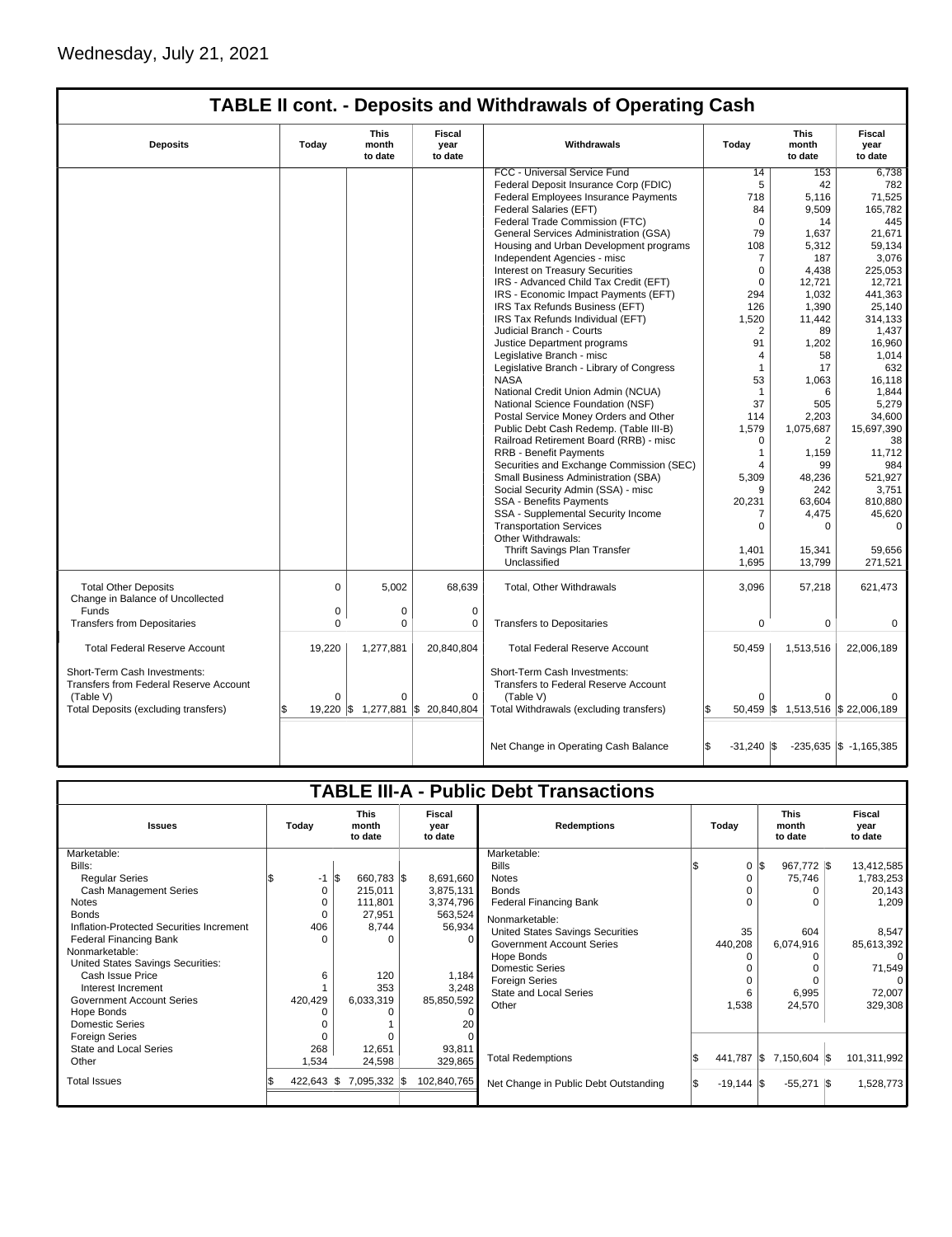|                                                                               |          |                                 |                                  | <b>TABLE II cont. - Deposits and Withdrawals of Operating Cash</b>              |                                |                                   |                            |
|-------------------------------------------------------------------------------|----------|---------------------------------|----------------------------------|---------------------------------------------------------------------------------|--------------------------------|-----------------------------------|----------------------------|
| <b>Deposits</b>                                                               | Today    | <b>This</b><br>month<br>to date | <b>Fiscal</b><br>year<br>to date | Withdrawals                                                                     | Today                          | <b>This</b><br>month<br>to date   | Fiscal<br>year<br>to date  |
|                                                                               |          |                                 |                                  | FCC - Universal Service Fund                                                    | 14                             | 153                               | 6,738                      |
|                                                                               |          |                                 |                                  | Federal Deposit Insurance Corp (FDIC)                                           | 5                              | 42                                | 782                        |
|                                                                               |          |                                 |                                  | Federal Employees Insurance Payments                                            | 718                            | 5,116                             | 71,525                     |
|                                                                               |          |                                 |                                  | Federal Salaries (EFT)                                                          | 84                             | 9,509                             | 165,782                    |
|                                                                               |          |                                 |                                  | Federal Trade Commission (FTC)                                                  | $\Omega$                       | 14                                | 445                        |
|                                                                               |          |                                 |                                  | General Services Administration (GSA)                                           | 79                             | 1,637                             | 21,671                     |
|                                                                               |          |                                 |                                  | Housing and Urban Development programs                                          | 108                            | 5,312                             | 59,134                     |
|                                                                               |          |                                 |                                  | Independent Agencies - misc                                                     | $\overline{7}$                 | 187                               | 3,076                      |
|                                                                               |          |                                 |                                  | Interest on Treasury Securities                                                 | $\mathbf 0$                    | 4,438                             | 225,053                    |
|                                                                               |          |                                 |                                  | IRS - Advanced Child Tax Credit (EFT)                                           | $\mathbf 0$                    | 12,721                            | 12,721                     |
|                                                                               |          |                                 |                                  | IRS - Economic Impact Payments (EFT)                                            | 294                            | 1,032                             | 441,363                    |
|                                                                               |          |                                 |                                  | IRS Tax Refunds Business (EFT)                                                  | 126                            | 1,390                             | 25,140                     |
|                                                                               |          |                                 |                                  | IRS Tax Refunds Individual (EFT)                                                | 1,520                          | 11,442                            | 314,133                    |
|                                                                               |          |                                 |                                  | Judicial Branch - Courts                                                        | $\overline{2}$                 | 89                                | 1,437                      |
|                                                                               |          |                                 |                                  | Justice Department programs                                                     | 91                             | 1,202                             | 16,960                     |
|                                                                               |          |                                 |                                  | Legislative Branch - misc                                                       | $\overline{4}$                 | 58                                | 1,014                      |
|                                                                               |          |                                 |                                  | Legislative Branch - Library of Congress                                        | $\overline{1}$                 | 17                                | 632                        |
|                                                                               |          |                                 |                                  | <b>NASA</b>                                                                     | 53                             | 1,063                             | 16,118                     |
|                                                                               |          |                                 |                                  | National Credit Union Admin (NCUA)                                              | $\mathbf{1}$                   | 6                                 | 1,844                      |
|                                                                               |          |                                 |                                  | National Science Foundation (NSF)                                               | 37                             | 505                               | 5,279                      |
|                                                                               |          |                                 |                                  | Postal Service Money Orders and Other                                           | 114                            | 2,203                             | 34,600                     |
|                                                                               |          |                                 |                                  | Public Debt Cash Redemp. (Table III-B)                                          | 1,579                          | 1,075,687                         | 15,697,390                 |
|                                                                               |          |                                 |                                  | Railroad Retirement Board (RRB) - misc                                          | $\mathbf 0$                    | 2                                 | 38                         |
|                                                                               |          |                                 |                                  | <b>RRB - Benefit Payments</b>                                                   | $\mathbf{1}$<br>$\overline{4}$ | 1,159                             | 11,712                     |
|                                                                               |          |                                 |                                  | Securities and Exchange Commission (SEC)<br>Small Business Administration (SBA) | 5,309                          | 99<br>48,236                      | 984<br>521,927             |
|                                                                               |          |                                 |                                  | Social Security Admin (SSA) - misc                                              | 9                              | 242                               | 3,751                      |
|                                                                               |          |                                 |                                  | <b>SSA - Benefits Payments</b>                                                  | 20,231                         | 63,604                            | 810,880                    |
|                                                                               |          |                                 |                                  | SSA - Supplemental Security Income                                              | 7                              | 4,475                             | 45,620                     |
|                                                                               |          |                                 |                                  | <b>Transportation Services</b><br>Other Withdrawals:                            | $\Omega$                       | $\Omega$                          | $\Omega$                   |
|                                                                               |          |                                 |                                  | Thrift Savings Plan Transfer                                                    | 1,401                          | 15,341                            | 59,656                     |
|                                                                               |          |                                 |                                  | Unclassified                                                                    | 1,695                          | 13,799                            | 271,521                    |
|                                                                               |          |                                 |                                  |                                                                                 |                                |                                   |                            |
| <b>Total Other Deposits</b><br>Change in Balance of Uncollected               | $\Omega$ | 5,002                           | 68,639                           | Total, Other Withdrawals                                                        | 3,096                          | 57,218                            | 621,473                    |
| Funds                                                                         | 0        | 0                               | $\mathbf 0$                      |                                                                                 |                                |                                   |                            |
| <b>Transfers from Depositaries</b>                                            | $\Omega$ | $\Omega$                        | $\Omega$                         | <b>Transfers to Depositaries</b>                                                | $\Omega$                       | $\mathbf 0$                       | $\Omega$                   |
| <b>Total Federal Reserve Account</b>                                          | 19,220   | 1,277,881                       | 20,840,804                       | <b>Total Federal Reserve Account</b>                                            | 50,459                         | 1,513,516                         | 22,006,189                 |
| Short-Term Cash Investments:<br><b>Transfers from Federal Reserve Account</b> |          |                                 |                                  | Short-Term Cash Investments:<br><b>Transfers to Federal Reserve Account</b>     |                                |                                   |                            |
| (Table V)                                                                     | $\Omega$ | $\Omega$                        | $\Omega$                         | (Table V)                                                                       | $\Omega$                       | 0                                 |                            |
| Total Deposits (excluding transfers)                                          |          | 19,220 \$ 1,277,881             | \$20,840,804                     | Total Withdrawals (excluding transfers)                                         |                                | 50,459 \$ 1,513,516 \$ 22,006,189 |                            |
|                                                                               |          |                                 |                                  | Net Change in Operating Cash Balance                                            | l\$<br>$-31,240$ \\$           |                                   | $-235,635$ \$ $-1,165,385$ |

| <b>TABLE III-A - Public Debt Transactions</b> |         |              |              |  |                                 |                                       |  |                      |              |       |                                 |  |                           |
|-----------------------------------------------|---------|--------------|--------------|--|---------------------------------|---------------------------------------|--|----------------------|--------------|-------|---------------------------------|--|---------------------------|
| <b>Issues</b>                                 | Today   |              |              |  | <b>This</b><br>month<br>to date | Fiscal<br>vear<br>to date             |  | <b>Redemptions</b>   |              | Today | <b>This</b><br>month<br>to date |  | Fiscal<br>year<br>to date |
| Marketable:                                   |         |              |              |  |                                 | Marketable:                           |  |                      |              |       |                                 |  |                           |
| Bills:                                        |         |              |              |  |                                 | <b>Bills</b>                          |  | 0 IS                 | 967,772 \$   |       | 13,412,585                      |  |                           |
| <b>Regular Series</b>                         |         | l\$<br>$-1$  | 660,783 \$   |  | 8,691,660                       | <b>Notes</b>                          |  | 0                    | 75,746       |       | 1,783,253                       |  |                           |
| <b>Cash Management Series</b>                 |         | 0            | 215,011      |  | 3,875,131                       | <b>Bonds</b>                          |  |                      | 0            |       | 20,143                          |  |                           |
| <b>Notes</b>                                  |         |              | 111,801      |  | 3,374,796                       | <b>Federal Financing Bank</b>         |  | 0                    | O            |       | 1,209                           |  |                           |
| <b>Bonds</b>                                  |         |              | 27,951       |  | 563,524                         | Nonmarketable:                        |  |                      |              |       |                                 |  |                           |
| Inflation-Protected Securities Increment      |         | 406          | 8.744        |  | 56,934                          | United States Savings Securities      |  | 35                   | 604          |       | 8,547                           |  |                           |
| <b>Federal Financing Bank</b>                 |         |              | $\Omega$     |  | $\Omega$                        | Government Account Series             |  | 440,208              | 6,074,916    |       | 85,613,392                      |  |                           |
| Nonmarketable:                                |         |              |              |  |                                 | Hope Bonds                            |  | $\Omega$             | O            |       | $\Omega$                        |  |                           |
| United States Savings Securities:             |         |              |              |  |                                 | <b>Domestic Series</b>                |  |                      |              |       | 71,549                          |  |                           |
| Cash Issue Price                              |         | 6            | 120          |  | 1,184                           | <b>Foreign Series</b>                 |  | 0                    |              |       | 0                               |  |                           |
| Interest Increment                            |         |              | 353          |  | 3,248                           | <b>State and Local Series</b>         |  | 6                    | 6,995        |       | 72,007                          |  |                           |
| <b>Government Account Series</b>              | 420,429 |              | 6,033,319    |  | 85,850,592                      | Other                                 |  | 1,538                | 24,570       |       | 329,308                         |  |                           |
| Hope Bonds                                    |         |              |              |  |                                 |                                       |  |                      |              |       |                                 |  |                           |
| <b>Domestic Series</b>                        |         |              |              |  | 20                              |                                       |  |                      |              |       |                                 |  |                           |
| <b>Foreign Series</b>                         |         |              |              |  |                                 |                                       |  |                      |              |       |                                 |  |                           |
| State and Local Series                        |         | 268          | 12,651       |  | 93,811                          |                                       |  |                      |              |       |                                 |  |                           |
| Other                                         |         | 1,534        | 24,598       |  | 329,865                         | <b>Total Redemptions</b>              |  | 441,787 \$           | 7,150,604 \$ |       | 101,311,992                     |  |                           |
| <b>Total Issues</b>                           |         | $422,643$ \$ | 7,095,332 \$ |  | 102,840,765                     | Net Change in Public Debt Outstanding |  | $-19,144$ $\sqrt{5}$ | $-55,271$ \$ |       | 1,528,773                       |  |                           |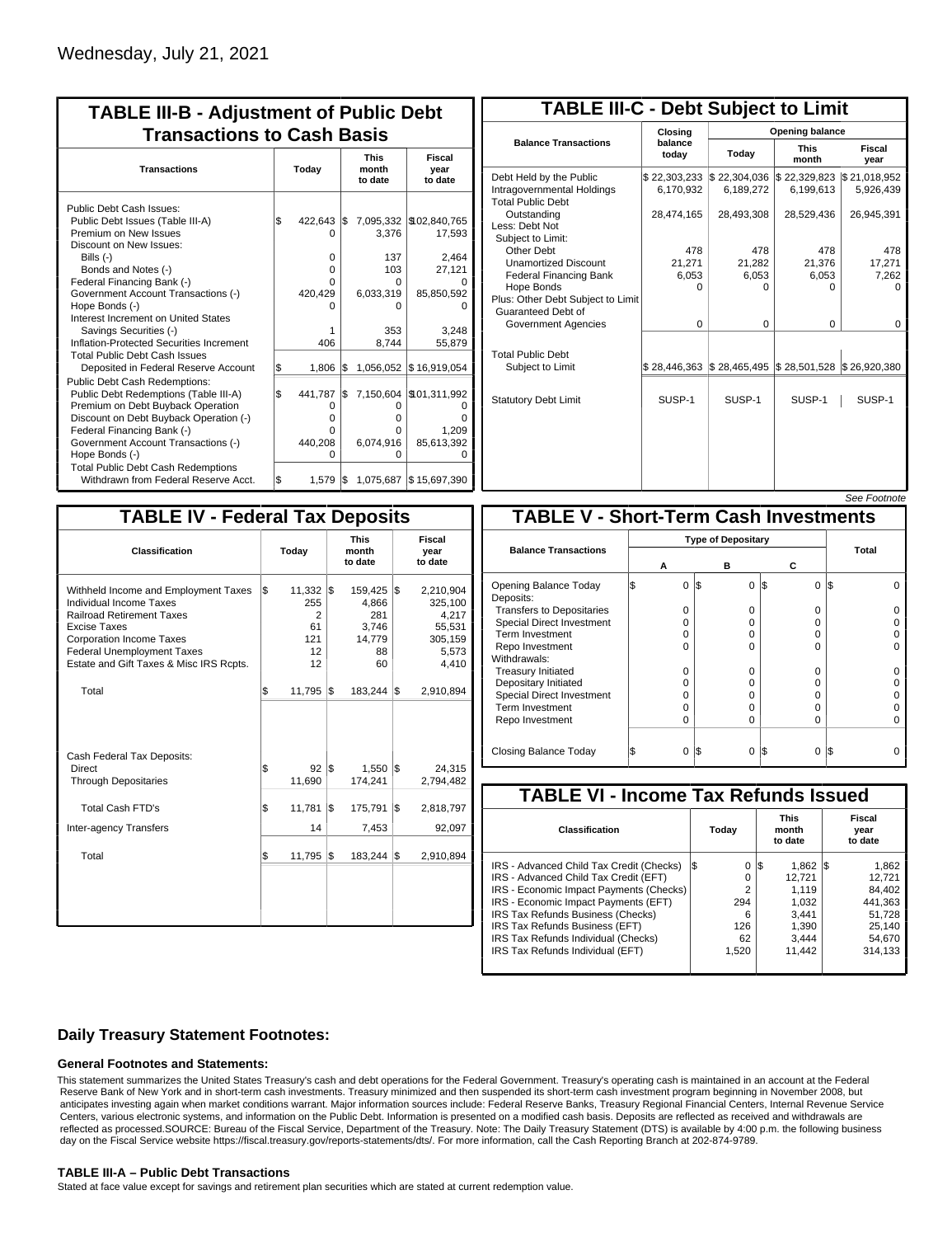| <b>TABLE III-B - Adjustment of Public Debt</b><br><b>Transactions to Cash Basis</b>                                                                                                                                                          |       |                                        |     |                               |                                                |  |                                  |  |  |  |  |
|----------------------------------------------------------------------------------------------------------------------------------------------------------------------------------------------------------------------------------------------|-------|----------------------------------------|-----|-------------------------------|------------------------------------------------|--|----------------------------------|--|--|--|--|
| <b>Transactions</b>                                                                                                                                                                                                                          | Today |                                        |     |                               | <b>This</b><br>month<br>to date                |  | <b>Fiscal</b><br>year<br>to date |  |  |  |  |
| Public Debt Cash Issues:<br>Public Debt Issues (Table III-A)<br>Premium on New Issues<br>Discount on New Issues:<br>Bills (-)                                                                                                                | \$    | 422,643<br>O<br>0                      | I\$ | 3,376<br>137                  | 7,095,332 \\$02,840,765<br>17,593<br>2,464     |  |                                  |  |  |  |  |
| Bonds and Notes (-)<br>Federal Financing Bank (-)<br>Government Account Transactions (-)<br>Hope Bonds (-)<br>Interest Increment on United States                                                                                            |       | 0<br>0<br>420,429<br>n                 |     | 103<br>O<br>6,033,319<br>ი    | 27,121<br>85,850,592                           |  |                                  |  |  |  |  |
| Savings Securities (-)<br>Inflation-Protected Securities Increment<br><b>Total Public Debt Cash Issues</b><br>Deposited in Federal Reserve Account                                                                                           | S.    | 406<br>1,806                           | l\$ | 353<br>8,744                  | 3.248<br>55,879<br>1,056,052 \$16,919,054      |  |                                  |  |  |  |  |
| Public Debt Cash Redemptions:<br>Public Debt Redemptions (Table III-A)<br>Premium on Debt Buyback Operation<br>Discount on Debt Buyback Operation (-)<br>Federal Financing Bank (-)<br>Government Account Transactions (-)<br>Hope Bonds (-) | l\$   | 441,787<br>0<br>0<br>U<br>440,208<br>O | I\$ | O<br>o<br>O<br>6,074,916<br>ი | 7,150,604 \\$01,311,992<br>1.209<br>85,613,392 |  |                                  |  |  |  |  |
| <b>Total Public Debt Cash Redemptions</b><br>Withdrawn from Federal Reserve Acct.                                                                                                                                                            | \$    | 1,579                                  | I\$ |                               | 1,075,687 \$15,697,390                         |  |                                  |  |  |  |  |

| <b>TABLE III-C - Debt Subject to Limit</b>                                        |                           |                                                                            |                           |                           |  |  |  |  |  |  |  |
|-----------------------------------------------------------------------------------|---------------------------|----------------------------------------------------------------------------|---------------------------|---------------------------|--|--|--|--|--|--|--|
|                                                                                   | Closing                   | Opening balance                                                            |                           |                           |  |  |  |  |  |  |  |
| <b>Balance Transactions</b>                                                       | balance<br>todav          | Today                                                                      | <b>This</b><br>month      | Fiscal<br>year            |  |  |  |  |  |  |  |
| Debt Held by the Public<br>Intragovernmental Holdings<br><b>Total Public Debt</b> | \$22,303,233<br>6,170,932 | \$22,304,036<br>6,189,272                                                  | \$22,329,823<br>6,199,613 | \$21,018,952<br>5,926,439 |  |  |  |  |  |  |  |
| Outstanding<br>Less: Debt Not<br>Subject to Limit:                                | 28,474,165                | 28,493,308                                                                 | 28,529,436                | 26,945,391                |  |  |  |  |  |  |  |
| Other Debt                                                                        | 478                       | 478                                                                        | 478                       | 478                       |  |  |  |  |  |  |  |
| <b>Unamortized Discount</b>                                                       | 21,271                    | 21,282                                                                     | 21,376                    | 17,271                    |  |  |  |  |  |  |  |
| <b>Federal Financing Bank</b>                                                     | 6,053                     | 6,053                                                                      | 6,053                     | 7,262                     |  |  |  |  |  |  |  |
| Hope Bonds                                                                        | 0                         | 0                                                                          | 0                         | $\Omega$                  |  |  |  |  |  |  |  |
| Plus: Other Debt Subject to Limit<br>Guaranteed Debt of                           |                           |                                                                            |                           |                           |  |  |  |  |  |  |  |
| Government Agencies                                                               | $\Omega$                  | $\Omega$                                                                   | $\Omega$                  | $\Omega$                  |  |  |  |  |  |  |  |
| <b>Total Public Debt</b><br>Subject to Limit                                      |                           | $\frac{1}{2}$ 28,446,363 $\frac{1}{2}$ 28,465,495 $\frac{1}{2}$ 28,501,528 |                           | \$26,920,380              |  |  |  |  |  |  |  |
| <b>Statutory Debt Limit</b>                                                       | SUSP-1                    | SUSP-1                                                                     | SUSP-1                    | SUSP-1                    |  |  |  |  |  |  |  |
|                                                                                   |                           |                                                                            |                           | See Footpote              |  |  |  |  |  |  |  |

| <b>TABLE IV - Federal Tax Deposits</b>                                                                                                                                                                                                               |     |                                                  |     |                                                        |     |                                                                      |
|------------------------------------------------------------------------------------------------------------------------------------------------------------------------------------------------------------------------------------------------------|-----|--------------------------------------------------|-----|--------------------------------------------------------|-----|----------------------------------------------------------------------|
| <b>Classification</b>                                                                                                                                                                                                                                |     | Today                                            |     | <b>This</b><br>month<br>to date                        |     | Fiscal<br>year<br>to date                                            |
| Withheld Income and Employment Taxes<br><b>Individual Income Taxes</b><br><b>Railroad Retirement Taxes</b><br><b>Excise Taxes</b><br><b>Corporation Income Taxes</b><br><b>Federal Unemployment Taxes</b><br>Estate and Gift Taxes & Misc IRS Rcpts. | l\$ | $11,332$ \$<br>255<br>2<br>61<br>121<br>12<br>12 |     | 159,425<br>4,866<br>281<br>3,746<br>14,779<br>88<br>60 | l\$ | 2,210,904<br>325,100<br>4,217<br>55,531<br>305,159<br>5,573<br>4,410 |
| Total                                                                                                                                                                                                                                                | \$  | 11,795                                           | 1\$ | $183,244$ \\$                                          |     | 2,910,894                                                            |
| Cash Federal Tax Deposits:<br>Direct<br><b>Through Depositaries</b>                                                                                                                                                                                  | \$  | 92<br>11,690                                     | l\$ | 1,550<br>174,241                                       | l\$ | 24,315<br>2,794,482                                                  |
| <b>Total Cash FTD's</b>                                                                                                                                                                                                                              | Ŝ.  | 11,781                                           | l\$ | 175,791                                                | l\$ | 2,818,797                                                            |
| <b>Inter-agency Transfers</b><br>Total                                                                                                                                                                                                               | \$  | 14<br>11,795                                     | l\$ | 7,453<br>183,244                                       | l\$ | 92,097<br>2,910,894                                                  |
|                                                                                                                                                                                                                                                      |     |                                                  |     |                                                        |     |                                                                      |

|                                              |  |                           |     |          |     |          | טעט ו טטעו |  |  |  |
|----------------------------------------------|--|---------------------------|-----|----------|-----|----------|------------|--|--|--|
| <b>TABLE V - Short-Term Cash Investments</b> |  |                           |     |          |     |          |            |  |  |  |
|                                              |  | <b>Type of Depositary</b> |     |          |     |          |            |  |  |  |
| <b>Balance Transactions</b>                  |  | А                         |     | в        | С   |          | Total      |  |  |  |
| Opening Balance Today<br>Deposits:           |  | $\Omega$                  | 1\$ | $\Omega$ | 1\$ | $\Omega$ | l\$        |  |  |  |
| <b>Transfers to Depositaries</b>             |  | O                         |     | 0        |     | 0        |            |  |  |  |
| <b>Special Direct Investment</b>             |  | O                         |     | O        |     | 0        |            |  |  |  |
| Term Investment                              |  | O                         |     | O        |     | 0        |            |  |  |  |
| Repo Investment                              |  | O                         |     | 0        |     | $\Omega$ |            |  |  |  |
| Withdrawals:                                 |  |                           |     |          |     |          |            |  |  |  |
| <b>Treasury Initiated</b>                    |  | O                         |     | 0        |     | 0        |            |  |  |  |
| Depositary Initiated                         |  | O                         |     | 0        |     | 0        |            |  |  |  |
| <b>Special Direct Investment</b>             |  | O                         |     | O        |     | 0        |            |  |  |  |
| <b>Term Investment</b>                       |  | O                         |     | 0        |     | 0        |            |  |  |  |
| Repo Investment                              |  | O                         |     | O        |     | $\Omega$ |            |  |  |  |
|                                              |  |                           |     |          |     |          |            |  |  |  |
| Closing Balance Today                        |  | 0                         | IS. | 0        | S   | 0        | I\$        |  |  |  |

| <b>TABLE VI - Income Tax Refunds Issued</b> |     |       |    |                                 |     |                           |  |  |  |  |
|---------------------------------------------|-----|-------|----|---------------------------------|-----|---------------------------|--|--|--|--|
| Classification                              |     | Today |    | <b>This</b><br>month<br>to date |     | Fiscal<br>year<br>to date |  |  |  |  |
| IRS - Advanced Child Tax Credit (Checks)    | l\$ | 0     | 13 | 1,862                           | IS. | 1,862                     |  |  |  |  |
| IRS - Advanced Child Tax Credit (EFT)       |     | 0     |    | 12.721                          |     | 12,721                    |  |  |  |  |
| IRS - Economic Impact Payments (Checks)     |     | 2     |    | 1.119                           |     | 84.402                    |  |  |  |  |
| IRS - Economic Impact Payments (EFT)        |     | 294   |    | 1,032                           |     | 441,363                   |  |  |  |  |
| IRS Tax Refunds Business (Checks)           |     | 6     |    | 3.441                           |     | 51.728                    |  |  |  |  |
| IRS Tax Refunds Business (EFT)              |     | 126   |    | 1,390                           |     | 25.140                    |  |  |  |  |
| IRS Tax Refunds Individual (Checks)         |     | 62    |    | 3.444                           |     | 54.670                    |  |  |  |  |
| IRS Tax Refunds Individual (EFT)            |     | 1,520 |    | 11,442                          |     | 314,133                   |  |  |  |  |
|                                             |     |       |    |                                 |     |                           |  |  |  |  |

## **Daily Treasury Statement Footnotes:**

#### **General Footnotes and Statements:**

This statement summarizes the United States Treasury's cash and debt operations for the Federal Government. Treasury's operating cash is maintained in an account at the Federal Reserve Bank of New York and in short-term cash investments. Treasury minimized and then suspended its short-term cash investment program beginning in November 2008, but anticipates investing again when market conditions warrant. Major information sources include: Federal Reserve Banks, Treasury Regional Financial Centers, Internal Revenue Service Centers, various electronic systems, and information on the Public Debt. Information is presented on a modified cash basis. Deposits are reflected as received and withdrawals are reflected as processed.SOURCE: Bureau of the Fiscal Service, Department of the Treasury. Note: The Daily Treasury Statement (DTS) is available by 4:00 p.m. the following business day on the Fiscal Service website https://fiscal.treasury.gov/reports-statements/dts/. For more information, call the Cash Reporting Branch at 202-874-9789.

### **TABLE III-A – Public Debt Transactions**

Stated at face value except for savings and retirement plan securities which are stated at current redemption value.